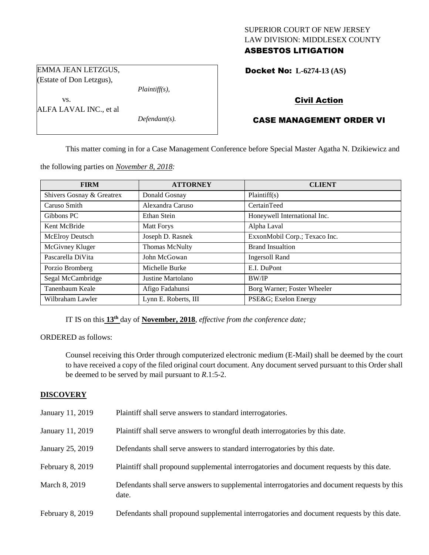# SUPERIOR COURT OF NEW JERSEY LAW DIVISION: MIDDLESEX COUNTY ASBESTOS LITIGATION

Docket No: **L-6274-13 (AS)** 

# Civil Action

# CASE MANAGEMENT ORDER VI

This matter coming in for a Case Management Conference before Special Master Agatha N. Dzikiewicz and

the following parties on *November 8, 2018:*

*Plaintiff(s),*

*Defendant(s).*

EMMA JEAN LETZGUS, (Estate of Don Letzgus),

ALFA LAVAL INC., et al

vs.

| <b>FIRM</b>               | <b>ATTORNEY</b>                             | <b>CLIENT</b>                 |
|---------------------------|---------------------------------------------|-------------------------------|
| Shivers Gosnay & Greatrex | Donald Gosnay                               | Plaintiff(s)                  |
| Caruso Smith              | Alexandra Caruso                            | CertainTeed                   |
| Gibbons PC                | Ethan Stein<br>Honeywell International Inc. |                               |
| Kent McBride              | <b>Matt Forys</b>                           | Alpha Laval                   |
| <b>McElroy Deutsch</b>    | Joseph D. Rasnek                            | ExxonMobil Corp.; Texaco Inc. |
| McGivney Kluger           | <b>Thomas McNulty</b>                       | <b>Brand Insualtion</b>       |
| Pascarella DiVita         | John McGowan                                | <b>Ingersoll Rand</b>         |
| Porzio Bromberg           | Michelle Burke                              | E.I. DuPont                   |
| Segal McCambridge         | Justine Martolano                           | <b>BW/IP</b>                  |
| Tanenbaum Keale           | Afigo Fadahunsi                             | Borg Warner; Foster Wheeler   |
| Wilbraham Lawler          | Lynn E. Roberts, III                        | PSE&G Exelon Energy           |

IT IS on this **13th** day of **November, 2018**, *effective from the conference date;*

ORDERED as follows:

Counsel receiving this Order through computerized electronic medium (E-Mail) shall be deemed by the court to have received a copy of the filed original court document. Any document served pursuant to this Order shall be deemed to be served by mail pursuant to *R*.1:5-2.

## **DISCOVERY**

| January 11, 2019 | Plaintiff shall serve answers to standard interrogatories.                                            |
|------------------|-------------------------------------------------------------------------------------------------------|
| January 11, 2019 | Plaintiff shall serve answers to wrongful death interrogatories by this date.                         |
| January 25, 2019 | Defendants shall serve answers to standard interrogatories by this date.                              |
| February 8, 2019 | Plaintiff shall propound supplemental interrogatories and document requests by this date.             |
| March 8, 2019    | Defendants shall serve answers to supplemental interrogatories and document requests by this<br>date. |
| February 8, 2019 | Defendants shall propound supplemental interrogatories and document requests by this date.            |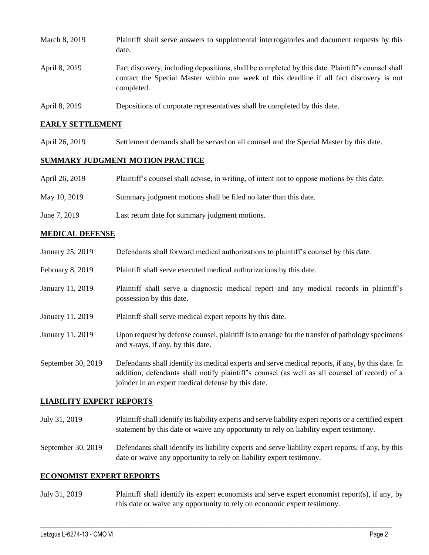| March 8, 2019 | Plaintiff shall serve answers to supplemental interrogatories and document requests by this<br>date.                                                                                                        |
|---------------|-------------------------------------------------------------------------------------------------------------------------------------------------------------------------------------------------------------|
| April 8, 2019 | Fact discovery, including depositions, shall be completed by this date. Plaintiff's counsel shall<br>contact the Special Master within one week of this deadline if all fact discovery is not<br>completed. |
|               |                                                                                                                                                                                                             |

April 8, 2019 Depositions of corporate representatives shall be completed by this date.

#### **EARLY SETTLEMENT**

April 26, 2019 Settlement demands shall be served on all counsel and the Special Master by this date.

#### **SUMMARY JUDGMENT MOTION PRACTICE**

| April 26, 2019 | Plaintiff's counsel shall advise, in writing, of intent not to oppose motions by this date. |  |  |  |  |  |  |
|----------------|---------------------------------------------------------------------------------------------|--|--|--|--|--|--|
|----------------|---------------------------------------------------------------------------------------------|--|--|--|--|--|--|

- May 10, 2019 Summary judgment motions shall be filed no later than this date.
- June 7, 2019 Last return date for summary judgment motions.

#### **MEDICAL DEFENSE**

| January 25, 2019   | Defendants shall forward medical authorizations to plaintiff's counsel by this date.                                                                                                                                                                     |
|--------------------|----------------------------------------------------------------------------------------------------------------------------------------------------------------------------------------------------------------------------------------------------------|
| February 8, 2019   | Plaintiff shall serve executed medical authorizations by this date.                                                                                                                                                                                      |
| January 11, 2019   | Plaintiff shall serve a diagnostic medical report and any medical records in plaintiff's<br>possession by this date.                                                                                                                                     |
| January 11, 2019   | Plaintiff shall serve medical expert reports by this date.                                                                                                                                                                                               |
| January 11, 2019   | Upon request by defense counsel, plaintiff is to arrange for the transfer of pathology specimens<br>and x-rays, if any, by this date.                                                                                                                    |
| September 30, 2019 | Defendants shall identify its medical experts and serve medical reports, if any, by this date. In<br>addition, defendants shall notify plaintiff's counsel (as well as all counsel of record) of a<br>joinder in an expert medical defense by this date. |

## **LIABILITY EXPERT REPORTS**

July 31, 2019 Plaintiff shall identify its liability experts and serve liability expert reports or a certified expert statement by this date or waive any opportunity to rely on liability expert testimony.

September 30, 2019 Defendants shall identify its liability experts and serve liability expert reports, if any, by this date or waive any opportunity to rely on liability expert testimony.

#### **ECONOMIST EXPERT REPORTS**

July 31, 2019 Plaintiff shall identify its expert economists and serve expert economist report(s), if any, by this date or waive any opportunity to rely on economic expert testimony.

 $\_$  ,  $\_$  ,  $\_$  ,  $\_$  ,  $\_$  ,  $\_$  ,  $\_$  ,  $\_$  ,  $\_$  ,  $\_$  ,  $\_$  ,  $\_$  ,  $\_$  ,  $\_$  ,  $\_$  ,  $\_$  ,  $\_$  ,  $\_$  ,  $\_$  ,  $\_$  ,  $\_$  ,  $\_$  ,  $\_$  ,  $\_$  ,  $\_$  ,  $\_$  ,  $\_$  ,  $\_$  ,  $\_$  ,  $\_$  ,  $\_$  ,  $\_$  ,  $\_$  ,  $\_$  ,  $\_$  ,  $\_$  ,  $\_$  ,